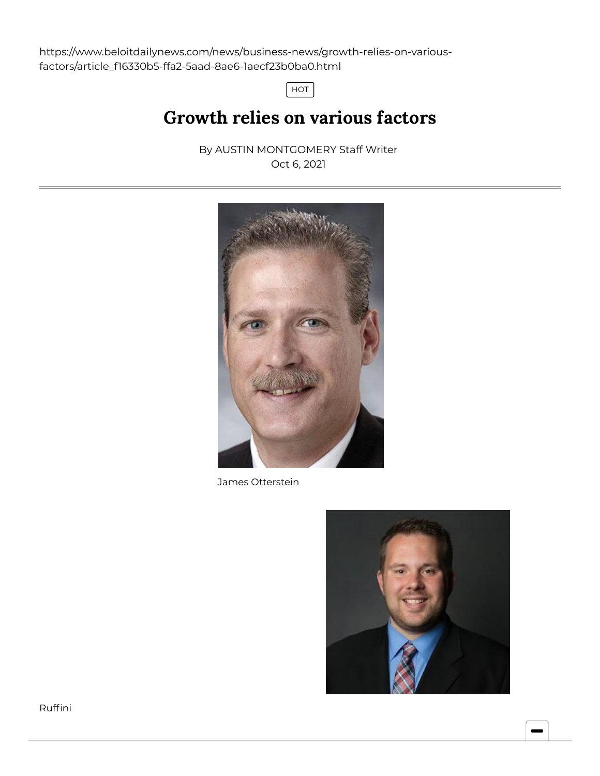https://www.beloitdailynews.com/news/business-news/growth-relies-on-variousfactors/article\_f16330b5-ffa2-5aad-8ae6-1aecf23b0ba0.html

HOT

## Growth relies on various factors

By AUSTIN [MONTGOMERY](https://www.beloitdailynews.com/users/profile/amontgomery) Staff Writer Oct 6, 2021



James Otterstein

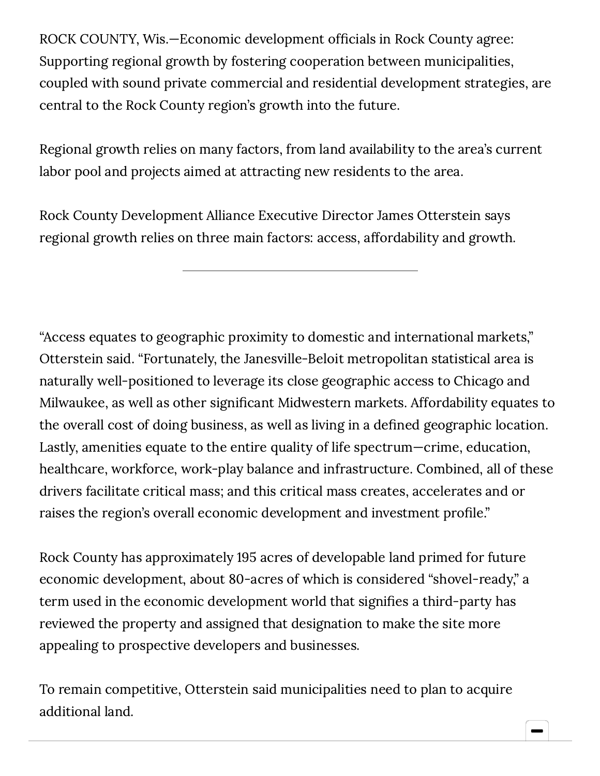ROCK COUNTY, Wis.—Economic development officials in Rock County agree: Supporting regional growth by fostering cooperation between municipalities, coupled with sound private commercial and residential development strategies, are central to the Rock County region's growth into the future.

Regional growth relies on many factors, from land availability to the area's current labor pool and projects aimed at attracting new residents to the area.

Rock County Development Alliance Executive Director James Otterstein says regional growth relies on three main factors: access, affordability and growth.

"Access equates to geographic proximity to domestic and international markets," Otterstein said. "Fortunately, the Janesville-Beloit metropolitan statistical area is naturally well-positioned to leverage its close geographic access to Chicago and Milwaukee, as well as other significant Midwestern markets. Affordability equates to the overall cost of doing business, as well as living in a defined geographic location. Lastly, amenities equate to the entire quality of life spectrum—crime, education, healthcare, workforce, work-play balance and infrastructure. Combined, all of these drivers facilitate critical mass; and this critical mass creates, accelerates and or raises the region's overall economic development and investment profile."

Rock County has approximately 195 acres of developable land primed for future economic development, about 80-acres of which is considered "shovel-ready," a term used in the economic development world that signifies a third-party has reviewed the property and assigned that designation to make the site more appealing to prospective developers and businesses.

To remain competitive, Otterstein said municipalities need to plan to acquire additional land.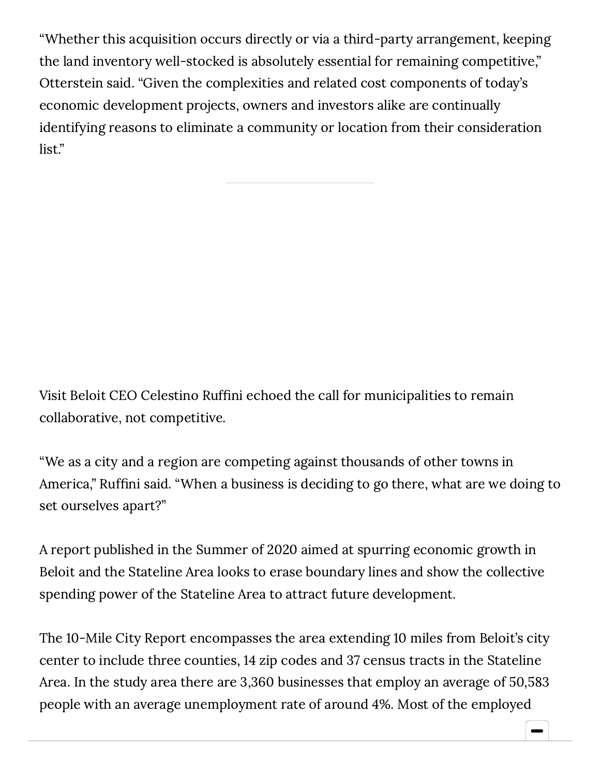"Whether this acquisition occurs directly or via a third-party arrangement, keeping the land inventory well-stocked is absolutely essential for remaining competitive," Otterstein said. "Given the complexities and related cost components of today's economic development projects, owners and investors alike are continually identifying reasons to eliminate a community or location from their consideration list."

Visit Beloit CEO Celestino Ruffini echoed the call for municipalities to remain collaborative, not competitive.

"We as a city and a region are competing against thousands of other towns in America," Ruffini said. "When a business is deciding to go there, what are we doing to set ourselves apart?"

A report published in the Summer of 2020 aimed at spurring economic growth in Beloit and the Stateline Area looks to erase boundary lines and show the collective spending power of the Stateline Area to attract future development.

The 10-Mile City Report encompasses the area extending 10 miles from Beloit's city center to include three counties, 14 zip codes and 37 census tracts in the Stateline Area. In the study area there are 3,360 businesses that employ an average of 50,583 people with an average unemployment rate of around 4%. Most of the employed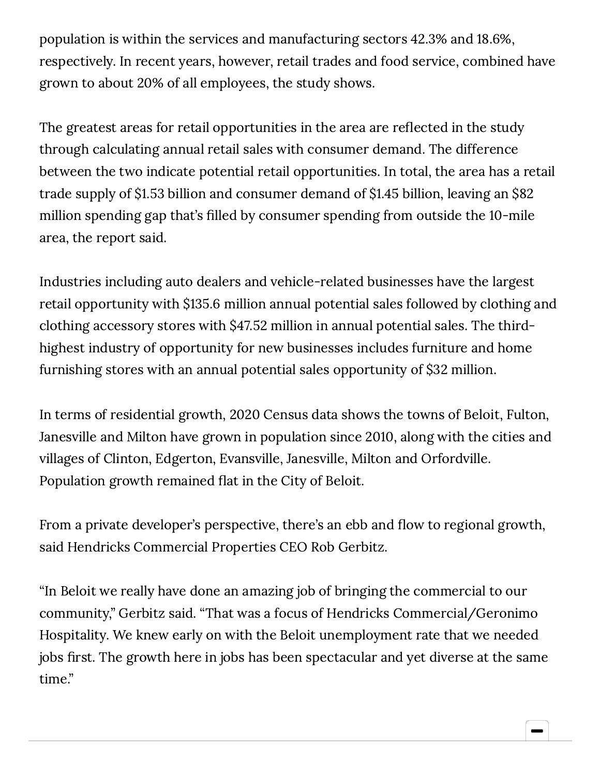population is within the services and manufacturing sectors 42.3% and 18.6%, respectively. In recent years, however, retail trades and food service, combined have grown to about 20% of all employees, the study shows.

The greatest areas for retail opportunities in the area are reflected in the study through calculating annual retail sales with consumer demand. The difference between the two indicate potential retail opportunities. In total, the area has a retail trade supply of \$1.53 billion and consumer demand of \$1.45 billion, leaving an \$82 million spending gap that's filled by consumer spending from outside the 10-mile area, the report said.

Industries including auto dealers and vehicle-related businesses have the largest retail opportunity with \$135.6 million annual potential sales followed by clothing and clothing accessory stores with \$47.52 million in annual potential sales. The thirdhighest industry of opportunity for new businesses includes furniture and home furnishing stores with an annual potential sales opportunity of \$32 million.

In terms of residential growth, 2020 Census data shows the towns of Beloit, Fulton, Janesville and Milton have grown in population since 2010, along with the cities and villages of Clinton, Edgerton, Evansville, Janesville, Milton and Orfordville. Population growth remained flat in the City of Beloit.

From a private developer's perspective, there's an ebb and flow to regional growth, said Hendricks Commercial Properties CEO Rob Gerbitz.

"In Beloit we really have done an amazing job of bringing the commercial to our community," Gerbitz said. "That was a focus of Hendricks Commercial/Geronimo Hospitality. We knew early on with the Beloit unemployment rate that we needed jobs first. The growth here in jobs has been spectacular and yet diverse at the same time."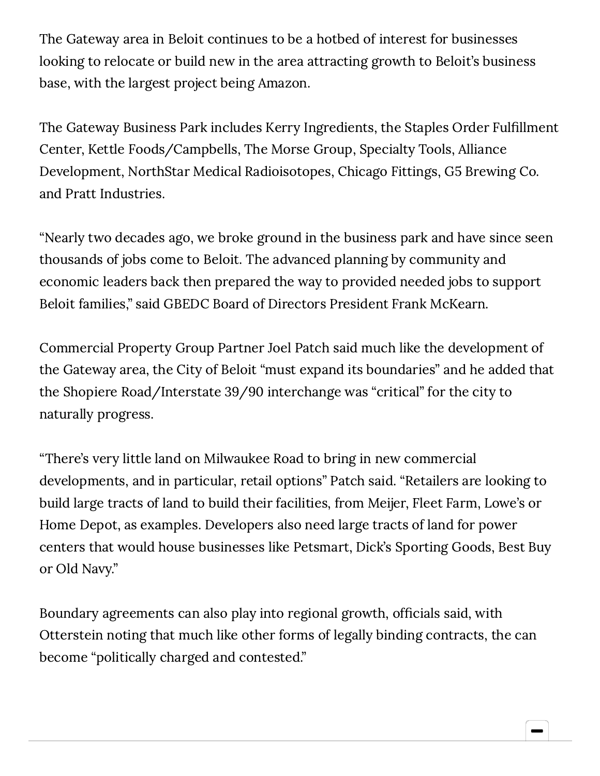The Gateway area in Beloit continues to be a hotbed of interest for businesses looking to relocate or build new in the area attracting growth to Beloit's business base, with the largest project being Amazon.

The Gateway Business Park includes Kerry Ingredients, the Staples Order Fulfillment Center, Kettle Foods/Campbells, The Morse Group, Specialty Tools, Alliance Development, NorthStar Medical Radioisotopes, Chicago Fittings, G5 Brewing Co. and Pratt Industries.

"Nearly two decades ago, we broke ground in the business park and have since seen thousands of jobs come to Beloit. The advanced planning by community and economic leaders back then prepared the way to provided needed jobs to support Beloit families," said GBEDC Board of Directors President Frank McKearn.

Commercial Property Group Partner Joel Patch said much like the development of the Gateway area, the City of Beloit "must expand its boundaries" and he added that the Shopiere Road/Interstate 39/90 interchange was "critical" for the city to naturally progress.

"There's very little land on Milwaukee Road to bring in new commercial developments, and in particular, retail options" Patch said. "Retailers are looking to build large tracts of land to build their facilities, from Meijer, Fleet Farm, Lowe's or Home Depot, as examples. Developers also need large tracts of land for power centers that would house businesses like Petsmart, Dick's Sporting Goods, Best Buy or Old Navy."

Boundary agreements can also play into regional growth, officials said, with Otterstein noting that much like other forms of legally binding contracts, the can become "politically charged and contested."